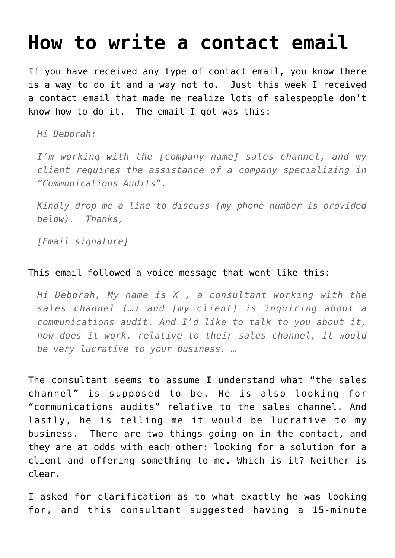## **[How to write a contact email](https://deborahbrody.com/2013/06/how-to-write-a-contact-email/)**

If you have received any type of contact email, you know there is a way to do it and a way not to. Just this week I received a contact email that made me realize lots of salespeople don't know how to do it. The email I got was this:

*Hi Deborah:*

*I'm working with the [company name] sales channel, and my client requires the assistance of a company specializing in "Communications Audits".*

*Kindly drop me a line to discuss (my phone number is provided below). Thanks,*

*[Email signature]*

## This email followed a voice message that went like this:

*Hi Deborah, My name is X , a consultant working with the sales channel (…) and [my client] is inquiring about a communications audit. And I'd like to talk to you about it, how does it work, relative to their sales channel, it would be very lucrative to your business. …*

The consultant seems to assume I understand what "the sales channel" is supposed to be. He is also looking for "communications audits" relative to the sales channel. And lastly, he is telling me it would be lucrative to my business. There are two things going on in the contact, and they are at odds with each other: looking for a solution for a client and offering something to me. Which is it? Neither is clear.

I asked for clarification as to what exactly he was looking for, and this consultant suggested having a 15-minute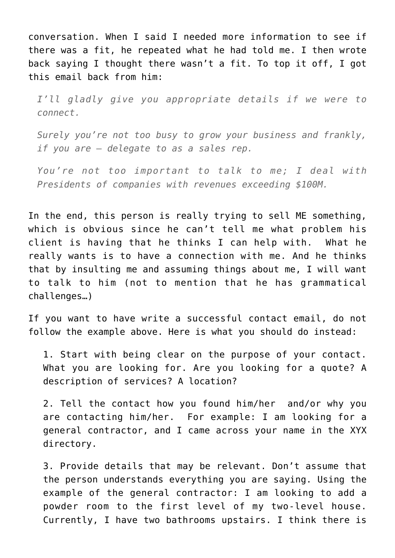conversation. When I said I needed more information to see if there was a fit, he repeated what he had told me. I then wrote back saying I thought there wasn't a fit. To top it off, I got this email back from him:

*I'll gladly give you appropriate details if we were to connect.*

*Surely you're not too busy to grow your business and frankly, if you are – delegate to as a sales rep.*

*You're not too important to talk to me; I deal with Presidents of companies with revenues exceeding \$100M.*

In the end, this person is really trying to sell ME something, which is obvious since he can't tell me what problem his client is having that he thinks I can help with. What he really wants is to have a connection with me. And he thinks that by insulting me and assuming things about me, I will want to talk to him (not to mention that he has grammatical challenges…)

If you want to have write a successful contact email, do not follow the example above. Here is what you should do instead:

1. Start with being clear on the purpose of your contact. What you are looking for. Are you looking for a quote? A description of services? A location?

2. Tell the contact how you found him/her and/or why you are contacting him/her. For example: I am looking for a general contractor, and I came across your name in the XYX directory.

3. Provide details that may be relevant. Don't assume that the person understands everything you are saying. Using the example of the general contractor: I am looking to add a powder room to the first level of my two-level house. Currently, I have two bathrooms upstairs. I think there is